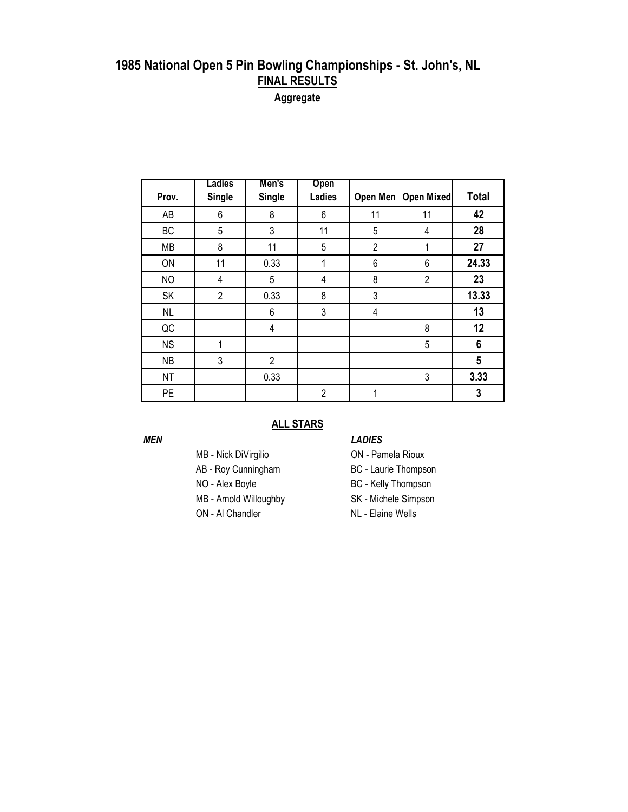| Prov.     | Ladies<br><b>Single</b> | Men's<br><b>Single</b> | Open<br><b>Ladies</b> | Open Men       | <b>Open Mixed</b> | <b>Total</b> |
|-----------|-------------------------|------------------------|-----------------------|----------------|-------------------|--------------|
|           |                         |                        |                       |                |                   |              |
| AB        | 6                       | 8                      | 6                     | 11             | 11                | 42           |
| BC        | 5                       | 3                      | 11                    | 5              | 4                 | 28           |
| <b>MB</b> | 8                       | 11                     | 5                     | $\overline{2}$ | 1                 | 27           |
| ON        | 11                      | 0.33                   | 1                     | 6              | 6                 | 24.33        |
| <b>NO</b> | 4                       | 5                      | 4                     | 8              | $\overline{2}$    | 23           |
| SK        | $\overline{2}$          | 0.33                   | 8                     | 3              |                   | 13.33        |
| <b>NL</b> |                         | 6                      | 3                     | 4              |                   | 13           |
| QC        |                         | 4                      |                       |                | 8                 | 12           |
| <b>NS</b> | 1                       |                        |                       |                | 5                 | 6            |
| <b>NB</b> | 3                       | $\overline{2}$         |                       |                |                   | 5            |
| <b>NT</b> |                         | 0.33                   |                       |                | 3                 | 3.33         |
| <b>PE</b> |                         |                        | $\overline{2}$        | 1              |                   | 3            |

#### **ALL STARS**

- 
- AB Roy Cunningham BC Laurie Thompson
- 
- MB Arnold Willoughby SK Michele Simpson
- ON Al Chandler NL Elaine Wells

#### *MEN LADIES*

- MB Nick DiVirgilio ON Pamela Rioux
	-
- NO Alex Boyle BC Kelly Thompson
	-
	-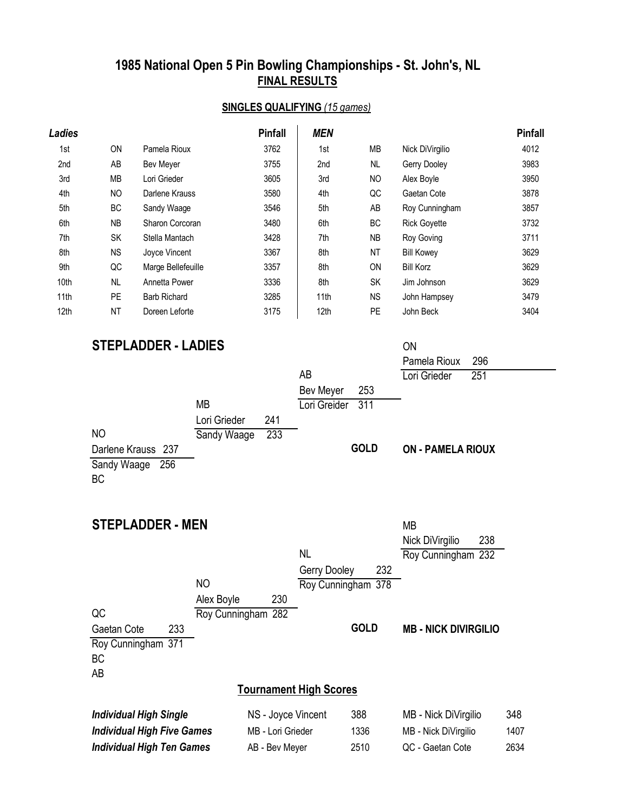#### **SINGLES QUALIFYING** *(15 games)*

| <b>Ladies</b> |           |                     | <b>Pinfall</b> | <b>MEN</b>       |                |                     | <b>Pinfall</b> |
|---------------|-----------|---------------------|----------------|------------------|----------------|---------------------|----------------|
| 1st           | <b>ON</b> | Pamela Rioux        | 3762           | 1st              | <b>MB</b>      | Nick DiVirgilio     | 4012           |
| 2nd           | AB        | Bev Meyer           | 3755           | 2nd              | NL             | Gerry Dooley        | 3983           |
| 3rd           | <b>MB</b> | Lori Grieder        | 3605           | 3rd              | N <sub>O</sub> | Alex Boyle          | 3950           |
| 4th           | NO        | Darlene Krauss      | 3580           | 4th              | QC             | Gaetan Cote         | 3878           |
| 5th           | ВC        | Sandy Waage         | 3546           | 5th              | AB             | Roy Cunningham      | 3857           |
| 6th           | <b>NB</b> | Sharon Corcoran     | 3480           | 6th              | <b>BC</b>      | <b>Rick Goyette</b> | 3732           |
| 7th           | SK        | Stella Mantach      | 3428           | 7th              | <b>NB</b>      | Roy Goving          | 3711           |
| 8th           | <b>NS</b> | Joyce Vincent       | 3367           | 8th              | <b>NT</b>      | <b>Bill Kowey</b>   | 3629           |
| 9th           | QC        | Marge Bellefeuille  | 3357           | 8th              | <b>ON</b>      | <b>Bill Korz</b>    | 3629           |
| 10th          | <b>NL</b> | Annetta Power       | 3336           | 8th              | <b>SK</b>      | Jim Johnson         | 3629           |
| 11th          | PE        | <b>Barb Richard</b> | 3285           | 11th             | <b>NS</b>      | John Hampsey        | 3479           |
| 12th          | <b>NT</b> | Doreen Leforte      | 3175           | 12 <sub>th</sub> | <b>PE</b>      | John Beck           | 3404           |

| <b>STEPLADDER - LADIES</b>        |                     |                               |                    | ON                          |      |
|-----------------------------------|---------------------|-------------------------------|--------------------|-----------------------------|------|
|                                   |                     |                               |                    | Pamela Rioux                | 296  |
|                                   |                     | AB                            |                    | Lori Grieder                | 251  |
|                                   |                     | Bev Meyer                     | 253                |                             |      |
|                                   | <b>MB</b>           | Lori Greider                  | 311                |                             |      |
|                                   | Lori Grieder<br>241 |                               |                    |                             |      |
| <b>NO</b>                         | 233<br>Sandy Waage  |                               |                    |                             |      |
| Darlene Krauss 237                |                     |                               | <b>GOLD</b>        | <b>ON - PAMELA RIOUX</b>    |      |
| Sandy Waage 256                   |                     |                               |                    |                             |      |
| <b>BC</b>                         |                     |                               |                    |                             |      |
|                                   |                     |                               |                    |                             |      |
|                                   |                     |                               |                    |                             |      |
| <b>STEPLADDER - MEN</b>           |                     |                               |                    | <b>MB</b>                   |      |
|                                   |                     |                               |                    | Nick DiVirgilio             | 238  |
|                                   |                     | <b>NL</b>                     |                    | Roy Cunningham 232          |      |
|                                   |                     | Gerry Dooley                  | 232                |                             |      |
|                                   | <b>NO</b>           |                               | Roy Cunningham 378 |                             |      |
|                                   | Alex Boyle<br>230   |                               |                    |                             |      |
| QC                                | Roy Cunningham 282  |                               |                    |                             |      |
| Gaetan Cote<br>233                |                     |                               | <b>GOLD</b>        | <b>MB - NICK DIVIRGILIO</b> |      |
| Roy Cunningham 371                |                     |                               |                    |                             |      |
| <b>BC</b>                         |                     |                               |                    |                             |      |
| AB                                |                     |                               |                    |                             |      |
|                                   |                     | <b>Tournament High Scores</b> |                    |                             |      |
| <b>Individual High Single</b>     | NS - Joyce Vincent  |                               | 388                | MB - Nick DiVirgilio        | 348  |
| <b>Individual High Five Games</b> | MB - Lori Grieder   |                               | 1336               | MB - Nick DiVirgilio        | 1407 |
| <b>Individual High Ten Games</b>  | AB - Bev Meyer      |                               | 2510               | QC - Gaetan Cote            | 2634 |
|                                   |                     |                               |                    |                             |      |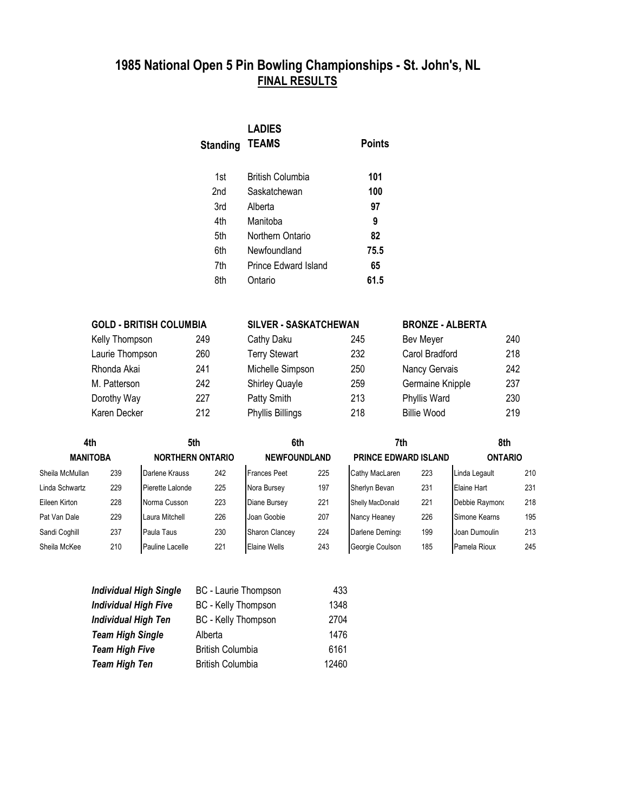| <b>Standing</b> | <b>LADIES</b><br><b>TEAMS</b> | Points |
|-----------------|-------------------------------|--------|
| 1st             | British Columbia              | 101    |
| 2nd             | Saskatchewan                  | 100    |
| 3rd             | Alberta                       | 97     |
| 4th             | Manitoba                      | 9      |
| 5th             | Northern Ontario              | 82     |
| 6th             | Newfoundland                  | 75.5   |
| 7th             | Prince Edward Island          | 65     |
| 8th             | Ontario                       | 61.5   |

| <b>GOLD - BRITISH COLUMBIA</b> |     | SILVER - SASKATCHEWAN |     | <b>BRONZE - ALBERTA</b> |     |  |  |
|--------------------------------|-----|-----------------------|-----|-------------------------|-----|--|--|
| Kelly Thompson                 | 249 | Cathy Daku            | 245 | Bev Meyer               | 240 |  |  |
| Laurie Thompson                | 260 | <b>Terry Stewart</b>  | 232 | Carol Bradford          | 218 |  |  |
| Rhonda Akai                    | 241 | Michelle Simpson      | 250 | Nancy Gervais           | 242 |  |  |
| M. Patterson                   | 242 | <b>Shirley Quayle</b> | 259 | Germaine Knipple        | 237 |  |  |
| Dorothy Way                    | 227 | Patty Smith           | 213 | Phyllis Ward            | 230 |  |  |
| Karen Decker                   | 212 | Phyllis Billings      | 218 | <b>Billie Wood</b>      | 219 |  |  |

| 4th             |                                            | 5th              |     |                       | 6th | 7th              |                             | 8th                  |                |  |
|-----------------|--------------------------------------------|------------------|-----|-----------------------|-----|------------------|-----------------------------|----------------------|----------------|--|
|                 | <b>MANITOBA</b><br><b>NORTHERN ONTARIO</b> |                  |     | <b>NEWFOUNDLAND</b>   |     |                  | <b>PRINCE EDWARD ISLAND</b> |                      | <b>ONTARIO</b> |  |
| Sheila McMullan | 239                                        | Darlene Krauss   | 242 | <b>Frances Peet</b>   | 225 | Cathy MacLaren   | 223                         | Linda Legault        | 210            |  |
| Linda Schwartz  | 229                                        | Pierette Lalonde | 225 | Nora Bursey           | 197 | Sherlyn Bevan    | 231                         | Elaine Hart          | 231            |  |
| Eileen Kirton   | 228                                        | Norma Cusson     | 223 | Diane Bursey          | 221 | Shelly MacDonald | 221                         | Debbie Raymond       | 218            |  |
| Pat Van Dale    | 229                                        | Laura Mitchell   | 226 | Joan Goobie           | 207 | Nancy Heaney     | 226                         | Simone Kearns        | 195            |  |
| Sandi Coghill   | 237                                        | Paula Taus       | 230 | <b>Sharon Clancey</b> | 224 | Darlene Demings  | 199                         | <b>Joan Dumoulin</b> | 213            |  |
| Sheila McKee    | 210                                        | Pauline Lacelle  | 221 | <b>Elaine Wells</b>   | 243 | Georgie Coulson  | 185                         | Pamela Rioux         | 245            |  |

| <b>Individual High Single</b> | BC - Laurie Thompson    | 433   |
|-------------------------------|-------------------------|-------|
| <b>Individual High Five</b>   | BC - Kelly Thompson     | 1348  |
| <b>Individual High Ten</b>    | BC - Kelly Thompson     | 2704  |
| <b>Team High Single</b>       | Alberta                 | 1476  |
| <b>Team High Five</b>         | <b>British Columbia</b> | 6161  |
| <b>Team High Ten</b>          | <b>British Columbia</b> | 12460 |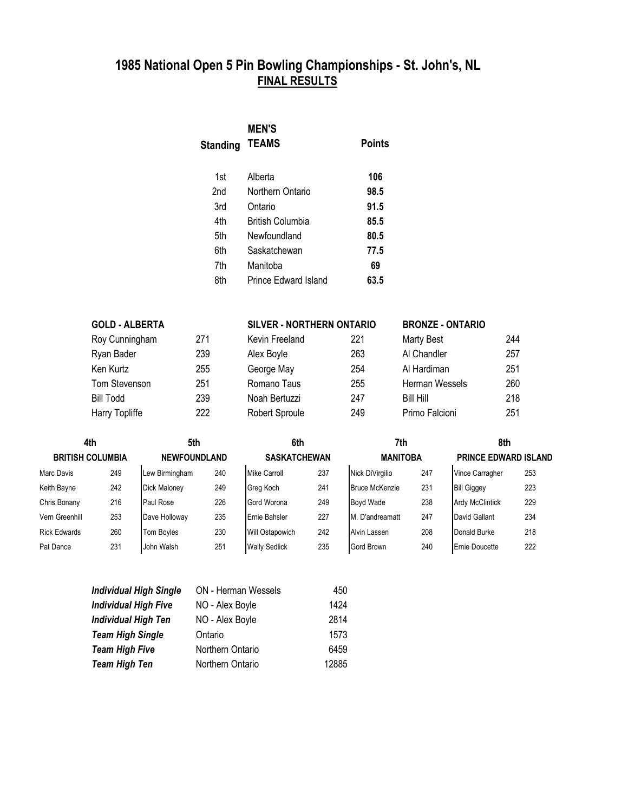| <b>MEN'S</b><br><b>TEAMS</b> | Points |
|------------------------------|--------|
| Alberta                      | 106    |
| Northern Ontario             | 98.5   |
| Ontario                      | 91.5   |
| <b>British Columbia</b>      | 85.5   |
| Newfoundland                 | 80.5   |
| Saskatchewan                 | 77.5   |
| Manitoba                     | 69     |
| Prince Edward Island         | 63.5   |
|                              |        |

| <b>GOLD - ALBERTA</b> |     | <b>SILVER - NORTHERN ONTARIO</b> |     | <b>BRONZE - ONTARIO</b> |     |  |
|-----------------------|-----|----------------------------------|-----|-------------------------|-----|--|
| Roy Cunningham        | 271 | Kevin Freeland                   | 221 | <b>Marty Best</b>       | 244 |  |
| Ryan Bader            | 239 | Alex Boyle                       | 263 | Al Chandler             | 257 |  |
| Ken Kurtz             | 255 | George May                       | 254 | Al Hardiman             | 251 |  |
| Tom Stevenson         | 251 | Romano Taus                      | 255 | Herman Wessels          | 260 |  |
| <b>Bill Todd</b>      | 239 | Noah Bertuzzi                    | 247 | <b>Bill Hill</b>        | 218 |  |
| Harry Topliffe        | 222 | Robert Sproule                   | 249 | Primo Falcioni          | 251 |  |

| 4th                     |     | 5th                 |     | 6th                  |     |                       | 7th |                             | 8th |  |
|-------------------------|-----|---------------------|-----|----------------------|-----|-----------------------|-----|-----------------------------|-----|--|
| <b>BRITISH COLUMBIA</b> |     | <b>NEWFOUNDLAND</b> |     | <b>SASKATCHEWAN</b>  |     | <b>MANITOBA</b>       |     | <b>PRINCE EDWARD ISLAND</b> |     |  |
| Marc Davis              | 249 | Lew Birmingham      | 240 | <b>Mike Carroll</b>  | 237 | Nick DiVirgilio       | 247 | Vince Carragher             | 253 |  |
| Keith Bayne             | 242 | <b>Dick Maloney</b> | 249 | Greg Koch            | 241 | <b>Bruce McKenzie</b> | 231 | <b>Bill Giggey</b>          | 223 |  |
| Chris Bonany            | 216 | Paul Rose           | 226 | Gord Worona          | 249 | <b>Boyd Wade</b>      | 238 | <b>Ardy McClintick</b>      | 229 |  |
| Vern Greenhill          | 253 | Dave Holloway       | 235 | Ernie Bahsler        | 227 | M. D'andreamatt       | 247 | David Gallant               | 234 |  |
| <b>Rick Edwards</b>     | 260 | <b>Tom Boyles</b>   | 230 | Will Ostapowich      | 242 | Alvin Lassen          | 208 | Donald Burke                | 218 |  |
| Pat Dance               | 231 | John Walsh          | 251 | <b>Wally Sedlick</b> | 235 | Gord Brown            | 240 | <b>Ernie Doucette</b>       | 222 |  |

| <b>Individual High Single</b> | <b>ON</b> - Herman Wessels | 450   |
|-------------------------------|----------------------------|-------|
| <b>Individual High Five</b>   | NO - Alex Boyle            | 1424  |
| <b>Individual High Ten</b>    | NO - Alex Boyle            | 2814  |
| <b>Team High Single</b>       | Ontario                    | 1573  |
| <b>Team High Five</b>         | Northern Ontario           | 6459  |
| <b>Team High Ten</b>          | Northern Ontario           | 12885 |